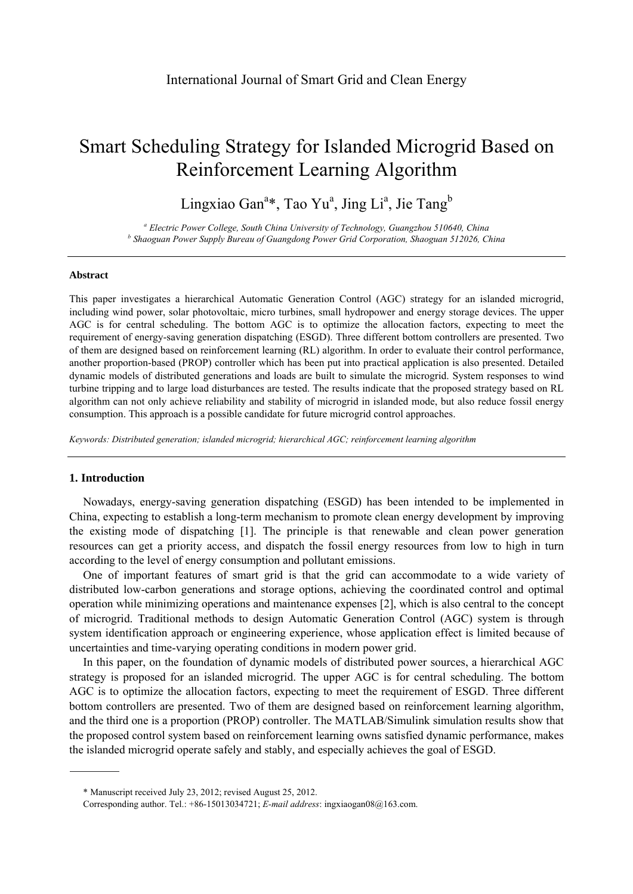# Smart Scheduling Strategy for Islanded Microgrid Based on Reinforcement Learning Algorithm

Lingxiao Gan<sup>a\*</sup>, Tao Yu<sup>a</sup>, Jing Li<sup>a</sup>, Jie Tang<sup>b</sup>

<sup>a</sup> Electric Power College, South China University of Technology, Guangzhou 510640, China <sup>b</sup> Shaoguan Bower Supply Burgey of Guangdong Power Grid Corporation, Shaoguan 512026, Cli  *Shaoguan Power Supply Bureau of Guangdong Power Grid Corporation, Shaoguan 512026, China*

### **Abstract**

This paper investigates a hierarchical Automatic Generation Control (AGC) strategy for an islanded microgrid, including wind power, solar photovoltaic, micro turbines, small hydropower and energy storage devices. The upper AGC is for central scheduling. The bottom AGC is to optimize the allocation factors, expecting to meet the requirement of energy-saving generation dispatching (ESGD). Three different bottom controllers are presented. Two of them are designed based on reinforcement learning (RL) algorithm. In order to evaluate their control performance, another proportion-based (PROP) controller which has been put into practical application is also presented. Detailed dynamic models of distributed generations and loads are built to simulate the microgrid. System responses to wind turbine tripping and to large load disturbances are tested. The results indicate that the proposed strategy based on RL algorithm can not only achieve reliability and stability of microgrid in islanded mode, but also reduce fossil energy consumption. This approach is a possible candidate for future microgrid control approaches.

*Keywords: Distributed generation; islanded microgrid; hierarchical AGC; reinforcement learning algorithm* 

# **1. Introduction**

Nowadays, energy-saving generation dispatching (ESGD) has been intended to be implemented in China, expecting to establish a long-term mechanism to promote clean energy development by improving the existing mode of dispatching [1]. The principle is that renewable and clean power generation resources can get a priority access, and dispatch the fossil energy resources from low to high in turn according to the level of energy consumption and pollutant emissions.

One of important features of smart grid is that the grid can accommodate to a wide variety of distributed low-carbon generations and storage options, achieving the coordinated control and optimal operation while minimizing operations and maintenance expenses [2], which is also central to the concept of microgrid. Traditional methods to design Automatic Generation Control (AGC) system is through system identification approach or engineering experience, whose application effect is limited because of uncertainties and time-varying operating conditions in modern power grid.

In this paper, on the foundation of dynamic models of distributed power sources, a hierarchical AGC strategy is proposed for an islanded microgrid. The upper AGC is for central scheduling. The bottom AGC is to optimize the allocation factors, expecting to meet the requirement of ESGD. Three different bottom controllers are presented. Two of them are designed based on reinforcement learning algorithm, and the third one is a proportion (PROP) controller. The MATLAB/Simulink simulation results show that the proposed control system based on reinforcement learning owns satisfied dynamic performance, makes the islanded microgrid operate safely and stably, and especially achieves the goal of ESGD.

<sup>\*</sup> Manuscript received July 23, 2012; revised August 25, 2012.

Corresponding author. Tel.: +86-15013034721; *E-mail address*: ingxiaogan08@163.com.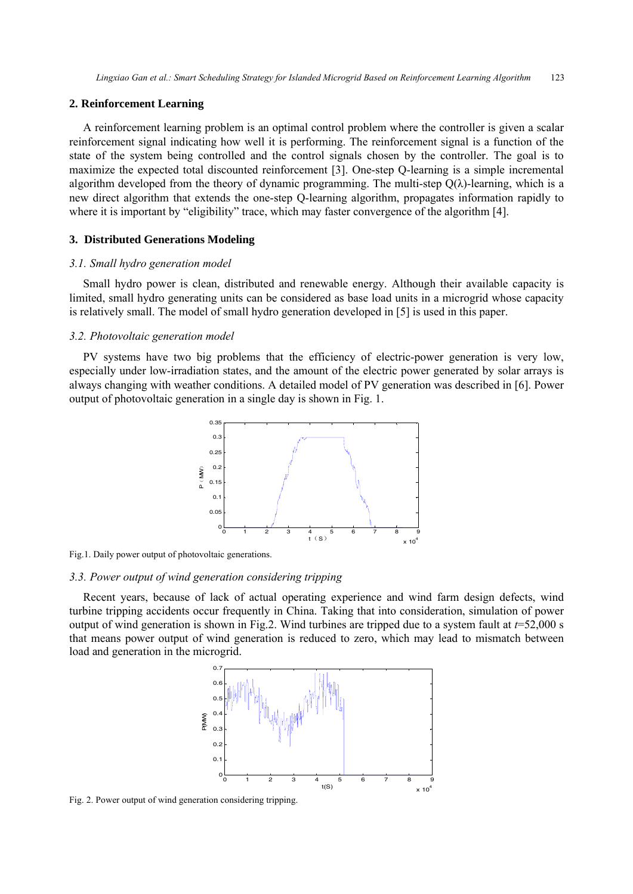#### **2. Reinforcement Learning**

A reinforcement learning problem is an optimal control problem where the controller is given a scalar reinforcement signal indicating how well it is performing. The reinforcement signal is a function of the state of the system being controlled and the control signals chosen by the controller. The goal is to maximize the expected total discounted reinforcement [3]. One-step Q-learning is a simple incremental algorithm developed from the theory of dynamic programming. The multi-step  $O(\lambda)$ -learning, which is a new direct algorithm that extends the one-step Q-learning algorithm, propagates information rapidly to where it is important by "eligibility" trace, which may faster convergence of the algorithm [4].

### **3. Distributed Generations Modeling**

#### *3.1. Small hydro generation model*

Small hydro power is clean, distributed and renewable energy. Although their available capacity is limited, small hydro generating units can be considered as base load units in a microgrid whose capacity is relatively small. The model of small hydro generation developed in [5] is used in this paper.

#### *3.2. Photovoltaic generation model*

PV systems have two big problems that the efficiency of electric-power generation is very low, especially under low-irradiation states, and the amount of the electric power generated by solar arrays is always changing with weather conditions. A detailed model of PV generation was described in [6]. Power output of photovoltaic generation in a single day is shown in Fig. 1.



Fig.1. Daily power output of photovoltaic generations.

# *3.3. Power output of wind generation considering tripping*

Recent years, because of lack of actual operating experience and wind farm design defects, wind turbine tripping accidents occur frequently in China. Taking that into consideration, simulation of power output of wind generation is shown in Fig.2. Wind turbines are tripped due to a system fault at  $t=52,000$  s that means power output of wind generation is reduced to zero, which may lead to mismatch between load and generation in the microgrid.



Fig. 2. Power output of wind generation considering tripping.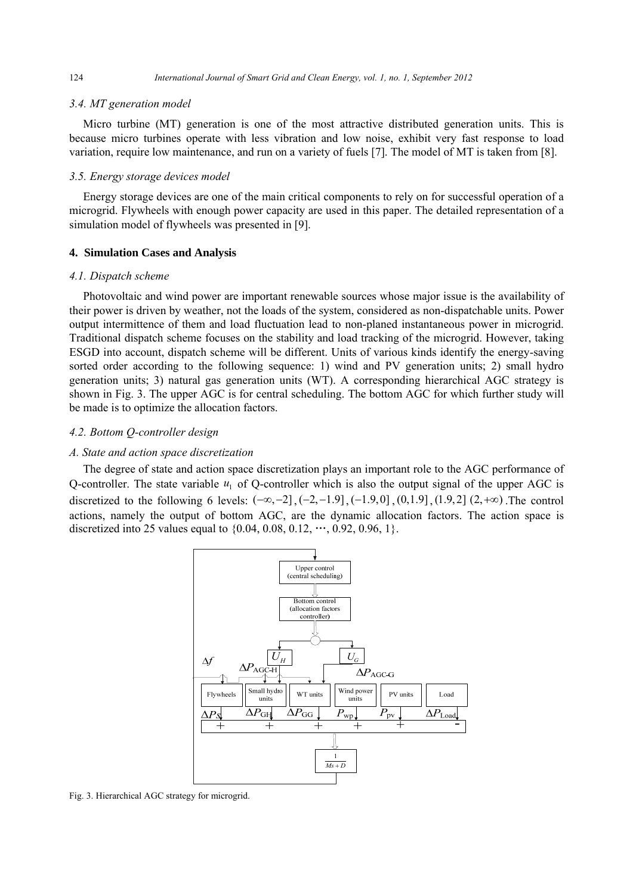# *3.4. MT generation model*

Micro turbine (MT) generation is one of the most attractive distributed generation units. This is because micro turbines operate with less vibration and low noise, exhibit very fast response to load variation, require low maintenance, and run on a variety of fuels [7]. The model of MT is taken from [8].

# *3.5. Energy storage devices model*

Energy storage devices are one of the main critical components to rely on for successful operation of a microgrid. Flywheels with enough power capacity are used in this paper. The detailed representation of a simulation model of flywheels was presented in [9].

#### **4. Simulation Cases and Analysis**

#### *4.1. Dispatch scheme*

Photovoltaic and wind power are important renewable sources whose major issue is the availability of their power is driven by weather, not the loads of the system, considered as non-dispatchable units. Power output intermittence of them and load fluctuation lead to non-planed instantaneous power in microgrid. Traditional dispatch scheme focuses on the stability and load tracking of the microgrid. However, taking ESGD into account, dispatch scheme will be different. Units of various kinds identify the energy-saving sorted order according to the following sequence: 1) wind and PV generation units; 2) small hydro generation units; 3) natural gas generation units (WT). A corresponding hierarchical AGC strategy is shown in Fig. 3. The upper AGC is for central scheduling. The bottom AGC for which further study will be made is to optimize the allocation factors.

# *4.2. Bottom Q-controller design*

#### *A. State and action space discretization*

The degree of state and action space discretization plays an important role to the AGC performance of Q-controller. The state variable  $u_1$  of Q-controller which is also the output signal of the upper AGC is discretized to the following 6 levels:  $(-\infty, -2]$ ,  $(-2, -1.9]$ ,  $(-1.9, 0]$ ,  $(0, 1.9]$ ,  $(1.9, 2]$ ,  $(2, +\infty)$ . The control actions, namely the output of bottom AGC, are the dynamic allocation factors. The action space is discretized into 25 values equal to  $\{0.04, 0.08, 0.12, \dots, 0.92, 0.96, 1\}.$ 



Fig. 3. Hierarchical AGC strategy for microgrid.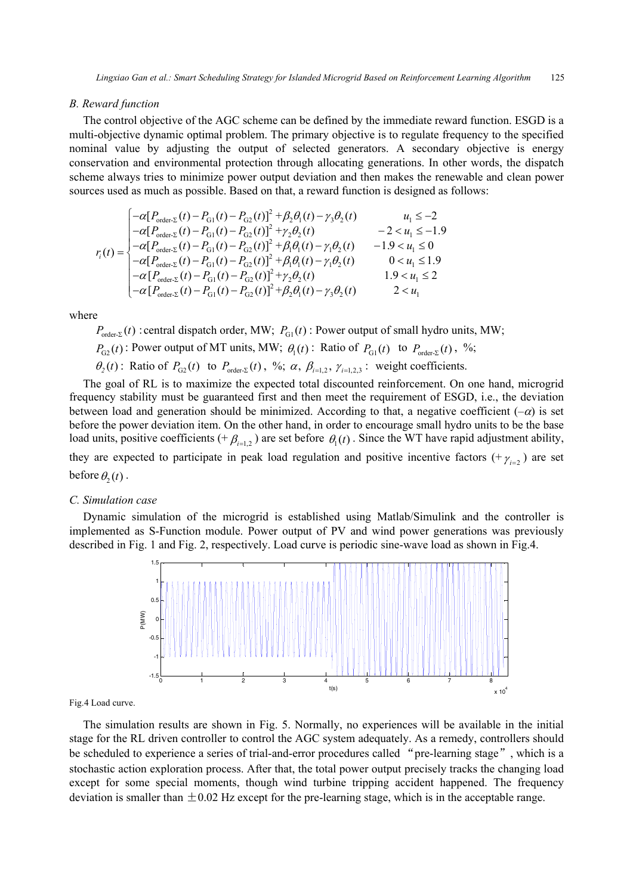#### *B. Reward function*

The control objective of the AGC scheme can be defined by the immediate reward function. ESGD is a multi-objective dynamic optimal problem. The primary objective is to regulate frequency to the specified nominal value by adjusting the output of selected generators. A secondary objective is energy conservation and environmental protection through allocating generations. In other words, the dispatch scheme always tries to minimize power output deviation and then makes the renewable and clean power sources used as much as possible. Based on that, a reward function is designed as follows:

$$
r_{i}(t) = \begin{cases}\n-\alpha [P_{\text{order-}2}(t) - P_{\text{G1}}(t) - P_{\text{G2}}(t)]^{2} + \beta_{2}\theta_{1}(t) - \gamma_{3}\theta_{2}(t) & u_{1} \leq -2 \\
-\alpha [P_{\text{order-}2}(t) - P_{\text{G1}}(t) - P_{\text{G2}}(t)]^{2} + \gamma_{2}\theta_{2}(t) & -2 < u_{1} \leq -1.9 \\
-\alpha [P_{\text{order-}2}(t) - P_{\text{G1}}(t) - P_{\text{G2}}(t)]^{2} + \beta_{1}\theta_{1}(t) - \gamma_{1}\theta_{2}(t) & -1.9 < u_{1} \leq 0 \\
-\alpha [P_{\text{order-}2}(t) - P_{\text{G1}}(t) - P_{\text{G2}}(t)]^{2} + \beta_{1}\theta_{1}(t) - \gamma_{1}\theta_{2}(t) & 0 < u_{1} \leq 1.9 \\
-\alpha [P_{\text{order-}2}(t) - P_{\text{G1}}(t) - P_{\text{G2}}(t)]^{2} + \gamma_{2}\theta_{2}(t) & 1.9 < u_{1} \leq 2 \\
-\alpha [P_{\text{order-}2}(t) - P_{\text{G1}}(t) - P_{\text{G2}}(t)]^{2} + \beta_{2}\theta_{1}(t) - \gamma_{3}\theta_{2}(t) & 2 < u_{1}\n\end{cases}
$$

where

 $P_{\text{order, }x}(t)$ : central dispatch order, MW;  $P_{\text{GL}}(t)$ : Power output of small hydro units, MW;

- $P_{\text{G2}}(t)$ : Power output of MT units, MW;  $\theta_1(t)$ : Ratio of  $P_{\text{G1}}(t)$  to  $P_{\text{order-}\Sigma}(t)$ , %;
- $\theta_2(t)$ : Ratio of  $P_{G_2}(t)$  to  $P_{order_2}(t)$ , %;  $\alpha$ ,  $\beta_{i=1,2}$ ,  $\gamma_{i=1,2,3}$ : weight coefficients.

The goal of RL is to maximize the expected total discounted reinforcement. On one hand, microgrid frequency stability must be guaranteed first and then meet the requirement of ESGD, i.e., the deviation between load and generation should be minimized. According to that, a negative coefficient  $(-\alpha)$  is set before the power deviation item. On the other hand, in order to encourage small hydro units to be the base load units, positive coefficients (+ $\beta_{i=1}$ ,) are set before  $\theta_1(t)$ . Since the WT have rapid adjustment ability, they are expected to participate in peak load regulation and positive incentive factors  $(+\gamma_{i=2})$  are set before  $\theta_2(t)$ .

#### *C. Simulation case*

Dynamic simulation of the microgrid is established using Matlab/Simulink and the controller is implemented as S-Function module. Power output of PV and wind power generations was previously described in Fig. 1 and Fig. 2, respectively. Load curve is periodic sine-wave load as shown in Fig.4.



Fig.4 Load curve.

The simulation results are shown in Fig. 5. Normally, no experiences will be available in the initial stage for the RL driven controller to control the AGC system adequately. As a remedy, controllers should be scheduled to experience a series of trial-and-error procedures called "pre-learning stage", which is a stochastic action exploration process. After that, the total power output precisely tracks the changing load except for some special moments, though wind turbine tripping accident happened. The frequency deviation is smaller than  $\pm 0.02$  Hz except for the pre-learning stage, which is in the acceptable range.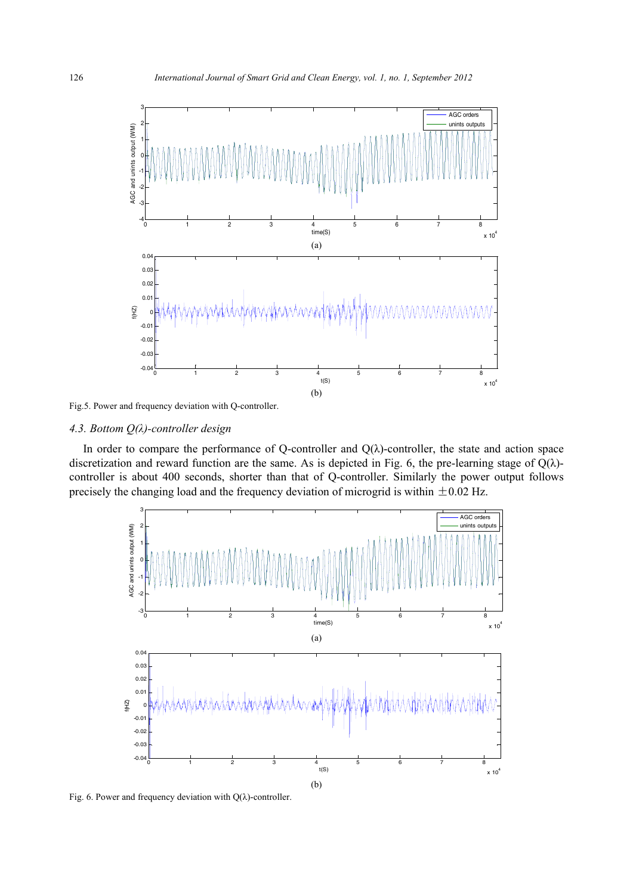

Fig.5. Power and frequency deviation with Q-controller.

# *4.3. Bottom Q(λ)-controller design*

In order to compare the performance of Q-controller and  $Q(\lambda)$ -controller, the state and action space discretization and reward function are the same. As is depicted in Fig. 6, the pre-learning stage of  $Q(\lambda)$ controller is about 400 seconds, shorter than that of Q-controller. Similarly the power output follows precisely the changing load and the frequency deviation of microgrid is within  $\pm 0.02$  Hz.



Fig. 6. Power and frequency deviation with  $Q(\lambda)$ -controller.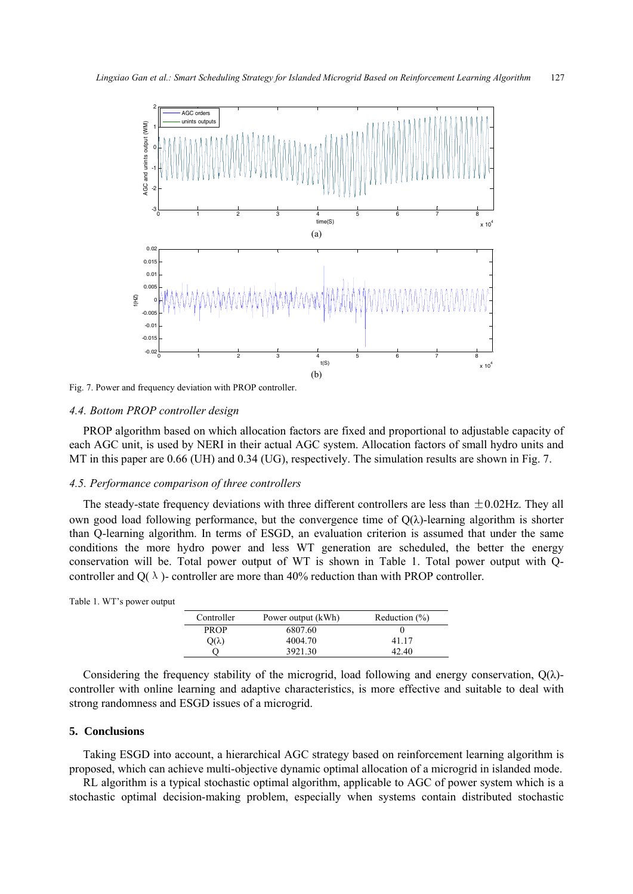

Fig. 7. Power and frequency deviation with PROP controller.

# *4.4. Bottom PROP controller design*

PROP algorithm based on which allocation factors are fixed and proportional to adjustable capacity of each AGC unit, is used by NERI in their actual AGC system. Allocation factors of small hydro units and MT in this paper are 0.66 (UH) and 0.34 (UG), respectively. The simulation results are shown in Fig. 7.

### *4.5. Performance comparison of three controllers*

The steady-state frequency deviations with three different controllers are less than  $\pm 0.02$ Hz. They all own good load following performance, but the convergence time of  $Q(\lambda)$ -learning algorithm is shorter than Q-learning algorithm. In terms of ESGD, an evaluation criterion is assumed that under the same conditions the more hydro power and less WT generation are scheduled, the better the energy conservation will be. Total power output of WT is shown in Table 1. Total power output with Qcontroller and  $Q(\lambda)$ - controller are more than 40% reduction than with PROP controller.

| Controller | Pow |
|------------|-----|
|            |     |

| Controller   | Power output (kWh) | Reduction $(\% )$ |
|--------------|--------------------|-------------------|
| <b>PROP</b>  | 6807.60            |                   |
| $Q(\lambda)$ | 4004.70            | 41 17             |
|              | 3921.30            | 42.40             |

Considering the frequency stability of the microgrid, load following and energy conservation,  $Q(\lambda)$ controller with online learning and adaptive characteristics, is more effective and suitable to deal with strong randomness and ESGD issues of a microgrid.

# **5. Conclusions**

Taking ESGD into account, a hierarchical AGC strategy based on reinforcement learning algorithm is proposed, which can achieve multi-objective dynamic optimal allocation of a microgrid in islanded mode.

RL algorithm is a typical stochastic optimal algorithm, applicable to AGC of power system which is a stochastic optimal decision-making problem, especially when systems contain distributed stochastic